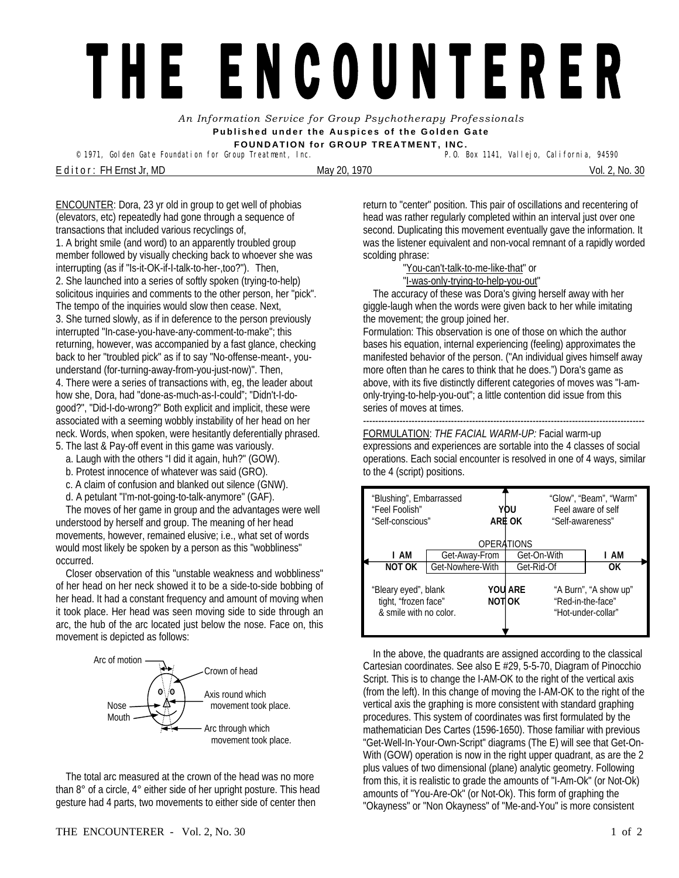## THE ENCOUNTERER

*An Information Service for Group Psychotherapy Professionals*  **Published under the Auspices of the Golden Gate FOUNDATION for GROUP TREATMENT, INC.** 

<sup>©</sup> 1971, Golden Gate Foundation for Group Treatment, Inc.

E d i t o r : FH Ernst Jr, MD May 20, 1970 Vol. 2, No. 30

ENCOUNTER: Dora, 23 yr old in group to get well of phobias (elevators, etc) repeatedly had gone through a sequence of transactions that included various recyclings of,

1. A bright smile (and word) to an apparently troubled group member followed by visually checking back to whoever she was interrupting (as if "Is-it-OK-if-I-talk-to-her-,too?"). Then, 2. She launched into a series of softly spoken (trying-to-help) solicitous inquiries and comments to the other person, her "pick". The tempo of the inquiries would slow then cease. Next, 3. She turned slowly, as if in deference to the person previously interrupted "In-case-you-have-any-comment-to-make"; this returning, however, was accompanied by a fast glance, checking back to her "troubled pick" as if to say "No-offense-meant-, youunderstand (for-turning-away-from-you-just-now)". Then, 4. There were a series of transactions with, eg, the leader about how she, Dora, had "done-as-much-as-I-could"; "Didn't-I-dogood?", "Did-I-do-wrong?" Both explicit and implicit, these were associated with a seeming wobbly instability of her head on her neck. Words, when spoken, were hesitantly deferentially phrased.

- 5. The last & Pay-off event in this game was variously.
	- a. Laugh with the others "I did it again, huh?" (GOW).
	- b. Protest innocence of whatever was said (GRO).
	- c. A claim of confusion and blanked out silence (GNW).
	- d. A petulant "I'm-not-going-to-talk-anymore" (GAF).

 The moves of her game in group and the advantages were well understood by herself and group. The meaning of her head movements, however, remained elusive; i.e., what set of words would most likely be spoken by a person as this "wobbliness" occurred.

 Closer observation of this "unstable weakness and wobbliness" of her head on her neck showed it to be a side-to-side bobbing of her head. It had a constant frequency and amount of moving when it took place. Her head was seen moving side to side through an arc, the hub of the arc located just below the nose. Face on, this movement is depicted as follows:



 The total arc measured at the crown of the head was no more than 8° of a circle, 4° either side of her upright posture. This head gesture had 4 parts, two movements to either side of center then

return to "center" position. This pair of oscillations and recentering of head was rather regularly completed within an interval just over one second. Duplicating this movement eventually gave the information. It was the listener equivalent and non-vocal remnant of a rapidly worded scolding phrase:

 "You-can't-talk-to-me-like-that" or "I-was-only-trying-to-help-you-out"

 The accuracy of these was Dora's giving herself away with her giggle-laugh when the words were given back to her while imitating the movement; the group joined her.

Formulation: This observation is one of those on which the author bases his equation, internal experiencing (feeling) approximates the manifested behavior of the person. ("An individual gives himself away more often than he cares to think that he does.") Dora's game as above, with its five distinctly different categories of moves was "I-amonly-trying-to-help-you-out"; a little contention did issue from this series of moves at times.

--------------------------------------------------------------------------------------------- FORMULATION: *THE FACIAL WARM-UP:* Facial warm-up

expressions and experiences are sortable into the 4 classes of social operations. Each social encounter is resolved in one of 4 ways, similar to the 4 (script) positions.



 In the above, the quadrants are assigned according to the classical Cartesian coordinates. See also E #29, 5-5-70, Diagram of Pinocchio Script. This is to change the I-AM-OK to the right of the vertical axis (from the left). In this change of moving the I-AM-OK to the right of the vertical axis the graphing is more consistent with standard graphing procedures. This system of coordinates was first formulated by the mathematician Des Cartes (1596-1650). Those familiar with previous "Get-Well-In-Your-Own-Script" diagrams (The E) will see that Get-On-With (GOW) operation is now in the right upper quadrant, as are the 2 plus values of two dimensional (plane) analytic geometry. Following from this, it is realistic to grade the amounts of "I-Am-Ok" (or Not-Ok) amounts of "You-Are-Ok" (or Not-Ok). This form of graphing the "Okayness" or "Non Okayness" of "Me-and-You" is more consistent